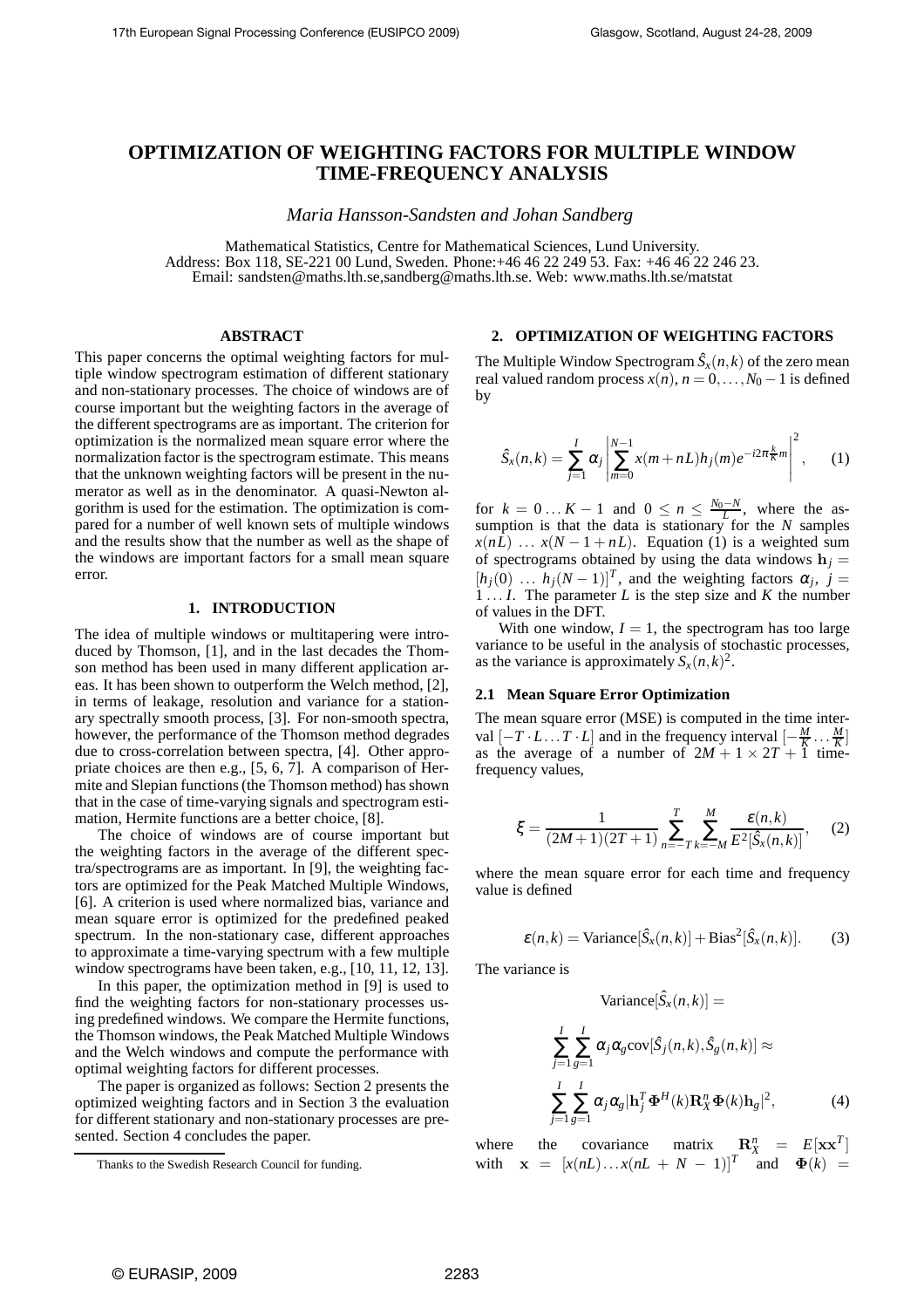# **OPTIMIZATION OF WEIGHTING FACTORS FOR MULTIPLE WINDOW TIME-FREQUENCY ANALYSIS**

*Maria Hansson-Sandsten and Johan Sandberg*

Mathematical Statistics, Centre for Mathematical Sciences, Lund University. Address: Box 118, SE-221 00 Lund, Sweden. Phone:+46 46 22 249 53. Fax: +46 46 22 246 23. Email: sandsten@maths.lth.se,sandberg@maths.lth.se. Web: www.maths.lth.se/matstat

### **ABSTRACT**

This paper concerns the optimal weighting factors for multiple window spectrogram estimation of different stationary and non-stationary processes. The choice of windows are of course important but the weighting factors in the average of the different spectrograms are as important. The criterion for optimization is the normalized mean square error where the normalization factor is the spectrogram estimate. This means that the unknown weighting factors will be present in the numerator as well as in the denominator. A quasi-Newton algorithm is used for the estimation. The optimization is compared for a number of well known sets of multiple windows and the results show that the number as well as the shape of the windows are important factors for a small mean square error.

### **1. INTRODUCTION**

The idea of multiple windows or multitapering were introduced by Thomson, [1], and in the last decades the Thomson method has been used in many different application areas. It has been shown to outperform the Welch method, [2], in terms of leakage, resolution and variance for a stationary spectrally smooth process, [3]. For non-smooth spectra, however, the performance of the Thomson method degrades due to cross-correlation between spectra, [4]. Other appropriate choices are then e.g., [5, 6, 7]. A comparison of Hermite and Slepian functions (the Thomson method) has shown that in the case of time-varying signals and spectrogram estimation, Hermite functions are a better choice, [8].

The choice of windows are of course important but the weighting factors in the average of the different spectra/spectrograms are as important. In [9], the weighting factors are optimized for the Peak Matched Multiple Windows, [6]. A criterion is used where normalized bias, variance and mean square error is optimized for the predefined peaked spectrum. In the non-stationary case, different approaches to approximate a time-varying spectrum with a few multiple window spectrograms have been taken, e.g., [10, 11, 12, 13].

In this paper, the optimization method in [9] is used to find the weighting factors for non-stationary processes using predefined windows. We compare the Hermite functions, the Thomson windows, the Peak Matched Multiple Windows and the Welch windows and compute the performance with optimal weighting factors for different processes.

The paper is organized as follows: Section 2 presents the optimized weighting factors and in Section 3 the evaluation for different stationary and non-stationary processes are presented. Section 4 concludes the paper.

# **2. OPTIMIZATION OF WEIGHTING FACTORS**

The Multiple Window Spectrogram  $\hat{S}_x(n,k)$  of the zero mean real valued random process  $x(n)$ ,  $n = 0, \ldots, N_0 - 1$  is defined by

$$
\hat{S}_x(n,k) = \sum_{j=1}^I \alpha_j \left| \sum_{m=0}^{N-1} x(m+nL) h_j(m) e^{-i2\pi \frac{k}{K} m} \right|^2, \quad (1)
$$

for  $k = 0...K - 1$  and  $0 \le n \le \frac{N_0 - N}{L_0}$ , where the assumption is that the data is stationary for the *N* samples  $x(nL)$  ...  $x(N-1+nL)$ . Equation (1) is a weighted sum of spectrograms obtained by using the data windows  $h_i =$  $[h_j(0) \dots h_j(N-1)]^T$ , and the weighting factors  $\alpha_j$ ,  $j =$ 1 ... *I*. The parameter *L* is the step size and *K* the number of values in the DFT.

With one window,  $I = 1$ , the spectrogram has too large variance to be useful in the analysis of stochastic processes, as the variance is approximately  $S_x(n,k)^2$ .

### **2.1 Mean Square Error Optimization**

The mean square error (MSE) is computed in the time interval  $[-T \cdot L \dots T \cdot L]$  and in the frequency interval  $[-\frac{M}{K} \dots \frac{M}{K}]$ as the average of a number of  $2M + 1 \times 2T + 1$  timefrequency values,

$$
\xi = \frac{1}{(2M+1)(2T+1)} \sum_{n=-T}^{T} \sum_{k=-M}^{M} \frac{\varepsilon(n,k)}{E^2[\hat{S}_x(n,k)]},
$$
 (2)

where the mean square error for each time and frequency value is defined

$$
\varepsilon(n,k) = \text{Variance}[\hat{S}_x(n,k)] + \text{Bias}^2[\hat{S}_x(n,k)]. \tag{3}
$$

The variance is

$$
Variance[\hat{S}_x(n,k)] =
$$

$$
\sum_{j=1}^{I} \sum_{g=1}^{I} \alpha_j \alpha_g \text{cov}[\hat{S}_j(n,k), \hat{S}_g(n,k)] \approx
$$
\n
$$
\sum_{j=1}^{I} \sum_{g=1}^{I} \alpha_j \alpha_g |\mathbf{h}_j^T \mathbf{\Phi}^H(k) \mathbf{R}_X^n \mathbf{\Phi}(k) \mathbf{h}_g|^2,
$$
\n(4)

where the covariance matrix  $\mathbf{R}_X^n = E[\mathbf{x}\mathbf{x}^T]$ with  $\mathbf{x} = [x(nL) \dots x(nL + N - 1)]^T$  and  $\Phi(k) =$ 

Thanks to the Swedish Research Council for funding.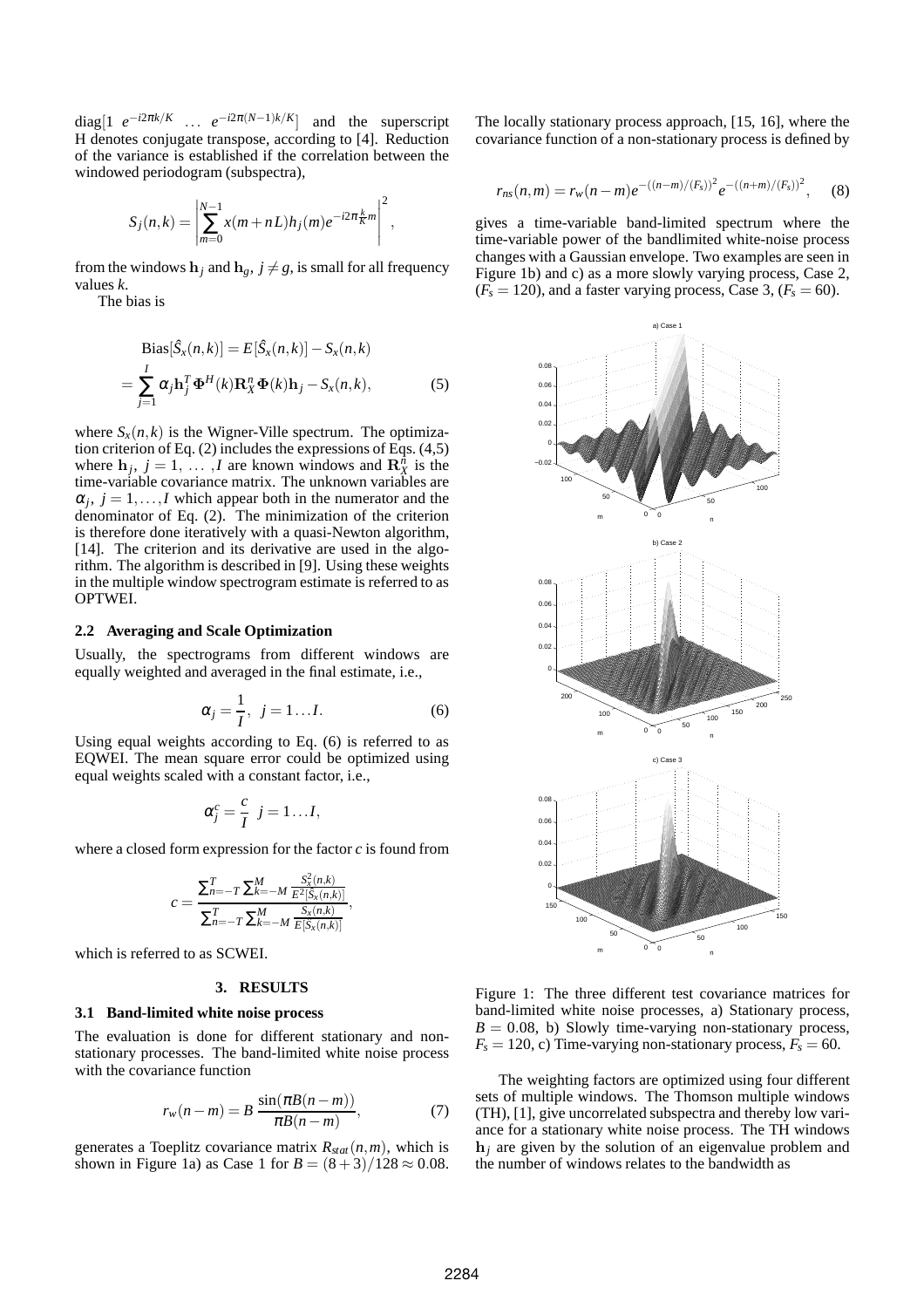$diag[1 \quad e^{-i2\pi k/K} \quad \dots \quad e^{-i2\pi(N-1)k/K}]$  and the superscript H denotes conjugate transpose, according to [4]. Reduction of the variance is established if the correlation between the windowed periodogram (subspectra),

$$
S_j(n,k) = \left| \sum_{m=0}^{N-1} x(m+nL)h_j(m)e^{-i2\pi \frac{k}{K}m} \right|^2
$$

,

from the windows  $\mathbf{h}_i$  and  $\mathbf{h}_g$ ,  $j \neq g$ , is small for all frequency values *k*.

The bias is

$$
\text{Bias}[\hat{S}_x(n,k)] = E[\hat{S}_x(n,k)] - S_x(n,k)
$$

$$
= \sum_{j=1}^{I} \alpha_j \mathbf{h}_j^T \mathbf{\Phi}^H(k) \mathbf{R}_X^n \mathbf{\Phi}(k) \mathbf{h}_j - S_x(n,k), \tag{5}
$$

where  $S_x(n, k)$  is the Wigner-Ville spectrum. The optimization criterion of Eq. (2) includes the expressions of Eqs. (4,5) where  $h_j$ ,  $j = 1, \ldots, I$  are known windows and  $\mathbb{R}_X^n$  is the time-variable covariance matrix. The unknown variables are  $\alpha_j$ ,  $j = 1, \ldots, I$  which appear both in the numerator and the denominator of Eq. (2). The minimization of the criterion is therefore done iteratively with a quasi-Newton algorithm, [14]. The criterion and its derivative are used in the algorithm. The algorithm is described in [9]. Using these weights in the multiple window spectrogram estimate is referred to as OPTWEI.

#### **2.2 Averaging and Scale Optimization**

Usually, the spectrograms from different windows are equally weighted and averaged in the final estimate, i.e.,

$$
\alpha_j = \frac{1}{I}, \ \ j = 1 \dots I. \tag{6}
$$

Using equal weights according to Eq. (6) is referred to as EQWEI. The mean square error could be optimized using equal weights scaled with a constant factor, i.e.,

$$
\alpha_j^c = \frac{c}{I} \ \ j = 1 \ldots I,
$$

where a closed form expression for the factor *c* is found from

$$
c = \frac{\sum_{n=-T}^{T} \sum_{k=-M}^{M} \frac{S_{\bar{x}}^{2}(n,k)}{E^{2}[\hat{S}_{x}(n,k)]}}{\sum_{n=-T}^{T} \sum_{k=-M}^{M} \frac{S_{x}(n,k)}{E[\hat{S}_{x}(n,k)]}},
$$

which is referred to as SCWEI.

## **3. RESULTS**

### **3.1 Band-limited white noise process**

The evaluation is done for different stationary and nonstationary processes. The band-limited white noise process with the covariance function

$$
r_w(n-m) = B \frac{\sin(\pi B(n-m))}{\pi B(n-m)},
$$
\n(7)

generates a Toeplitz covariance matrix  $R_{stat}(n,m)$ , which is shown in Figure 1a) as Case 1 for  $B = (8 + 3)/128 \approx 0.08$ .

The locally stationary process approach, [15, 16], where the covariance function of a non-stationary process is defined by

$$
r_{ns}(n,m) = r_w(n-m)e^{-((n-m)/(F_s))^2}e^{-((n+m)/(F_s))^2}, \quad (8)
$$

gives a time-variable band-limited spectrum where the time-variable power of the bandlimited white-noise process changes with a Gaussian envelope. Two examples are seen in Figure 1b) and c) as a more slowly varying process, Case 2,  $(F<sub>s</sub> = 120)$ , and a faster varying process, Case 3,  $(F<sub>s</sub> = 60)$ .



Figure 1: The three different test covariance matrices for band-limited white noise processes, a) Stationary process,  $B = 0.08$ , b) Slowly time-varying non-stationary process,  $F_s = 120$ , c) Time-varying non-stationary process,  $F_s = 60$ .

The weighting factors are optimized using four different sets of multiple windows. The Thomson multiple windows (TH), [1], give uncorrelated subspectra and thereby low variance for a stationary white noise process. The TH windows  $h_i$  are given by the solution of an eigenvalue problem and the number of windows relates to the bandwidth as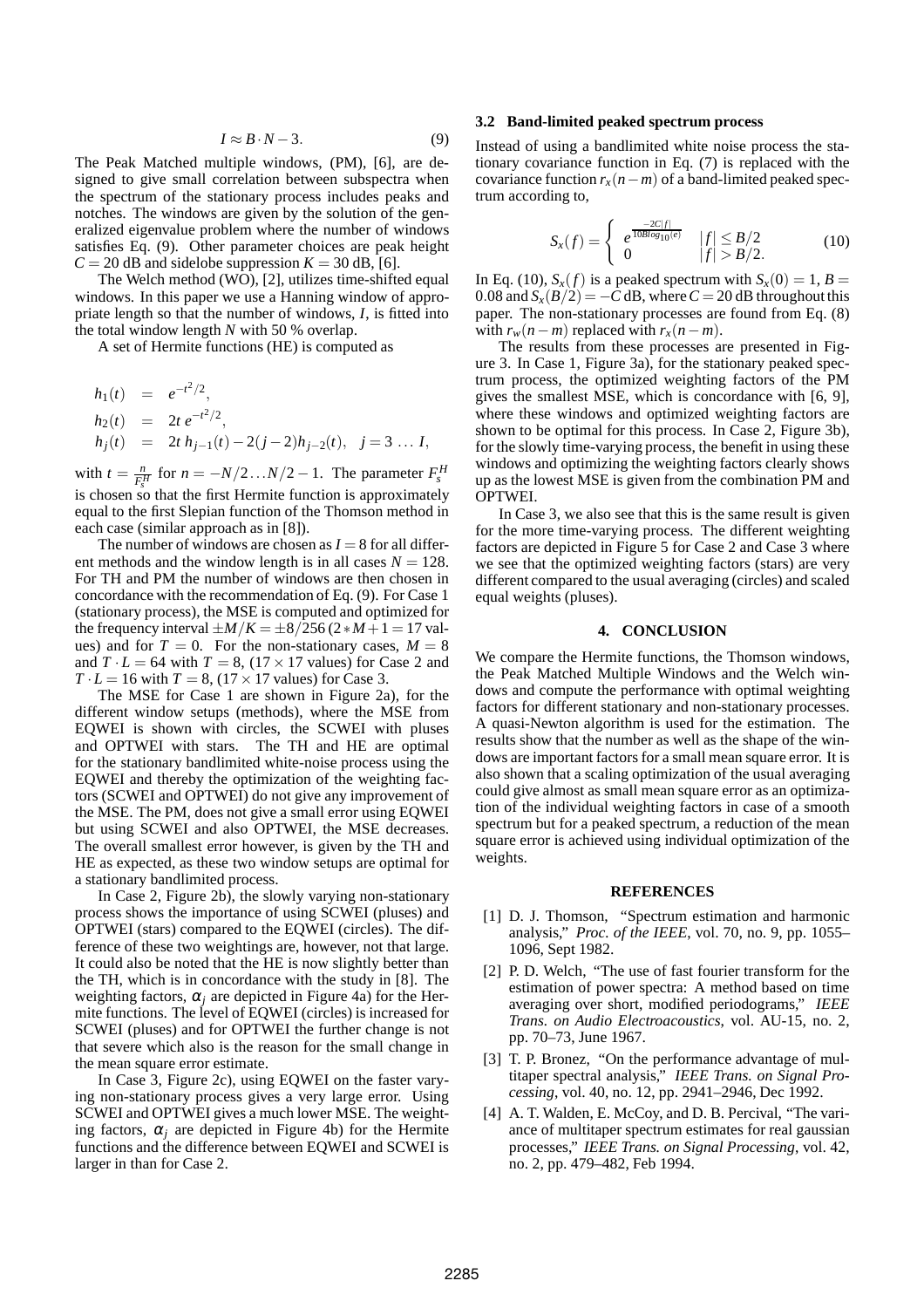$$
I \approx B \cdot N - 3. \tag{9}
$$

The Peak Matched multiple windows, (PM), [6], are designed to give small correlation between subspectra when the spectrum of the stationary process includes peaks and notches. The windows are given by the solution of the generalized eigenvalue problem where the number of windows satisfies Eq. (9). Other parameter choices are peak height  $C = 20$  dB and sidelobe suppression  $K = 30$  dB, [6].

The Welch method (WO), [2], utilizes time-shifted equal windows. In this paper we use a Hanning window of appropriate length so that the number of windows, *I*, is fitted into the total window length *N* with 50 % overlap.

A set of Hermite functions (HE) is computed as

$$
h_1(t) = e^{-t^2/2},
$$
  
\n
$$
h_2(t) = 2t e^{-t^2/2},
$$
  
\n
$$
h_j(t) = 2t h_{j-1}(t) - 2(j-2)h_{j-2}(t), j = 3 \dots I,
$$

with  $t = \frac{n}{F_s^H}$  for  $n = -N/2...N/2 - 1$ . The parameter  $F_s^H$ is chosen so that the first Hermite function is approximately equal to the first Slepian function of the Thomson method in each case (similar approach as in [8]).

The number of windows are chosen as  $I = 8$  for all different methods and the window length is in all cases  $N = 128$ . For TH and PM the number of windows are then chosen in concordance with the recommendation of Eq. (9). For Case 1 (stationary process), the MSE is computed and optimized for the frequency interval  $\pm M/K = \pm 8/256$  (2  $*M + 1 = 17$  values) and for  $T = 0$ . For the non-stationary cases,  $M = 8$ and  $T \cdot L = 64$  with  $T = 8$ ,  $(17 \times 17$  values) for Case 2 and  $T \cdot L = 16$  with  $T = 8$ ,  $(17 \times 17$  values) for Case 3.

The MSE for Case 1 are shown in Figure 2a), for the different window setups (methods), where the MSE from EQWEI is shown with circles, the SCWEI with pluses and OPTWEI with stars. The TH and HE are optimal for the stationary bandlimited white-noise process using the EQWEI and thereby the optimization of the weighting factors (SCWEI and OPTWEI) do not give any improvement of the MSE. The PM, does not give a small error using EQWEI but using SCWEI and also OPTWEI, the MSE decreases. The overall smallest error however, is given by the TH and HE as expected, as these two window setups are optimal for a stationary bandlimited process.

In Case 2, Figure 2b), the slowly varying non-stationary process shows the importance of using SCWEI (pluses) and OPTWEI (stars) compared to the EQWEI (circles). The difference of these two weightings are, however, not that large. It could also be noted that the HE is now slightly better than the TH, which is in concordance with the study in [8]. The weighting factors,  $\alpha_i$  are depicted in Figure 4a) for the Hermite functions. The level of EQWEI (circles) is increased for SCWEI (pluses) and for OPTWEI the further change is not that severe which also is the reason for the small change in the mean square error estimate.

In Case 3, Figure 2c), using EQWEI on the faster varying non-stationary process gives a very large error. Using SCWEI and OPTWEI gives a much lower MSE. The weighting factors,  $\alpha_i$  are depicted in Figure 4b) for the Hermite functions and the difference between EQWEI and SCWEI is larger in than for Case 2.

### **3.2 Band-limited peaked spectrum process**

Instead of using a bandlimited white noise process the stationary covariance function in Eq. (7) is replaced with the covariance function  $r_x(n-m)$  of a band-limited peaked spectrum according to,

$$
S_x(f) = \begin{cases} e^{\frac{-2C|f|}{10Blog_{10}(e)}} & |f| \le B/2\\ 0 & |f| > B/2. \end{cases}
$$
 (10)

In Eq. (10),  $S_x(f)$  is a peaked spectrum with  $S_x(0) = 1$ ,  $B =$ 0.08 and  $S_x(B/2) = -\bar{C}$  dB, where  $C = 20$  dB throughout this paper. The non-stationary processes are found from Eq. (8) with  $r_w(n-m)$  replaced with  $r_x(n-m)$ .

The results from these processes are presented in Figure 3. In Case 1, Figure 3a), for the stationary peaked spectrum process, the optimized weighting factors of the PM gives the smallest MSE, which is concordance with [6, 9], where these windows and optimized weighting factors are shown to be optimal for this process. In Case 2, Figure 3b), for the slowly time-varying process, the benefit in using these windows and optimizing the weighting factors clearly shows up as the lowest MSE is given from the combination PM and OPTWEI.

In Case 3, we also see that this is the same result is given for the more time-varying process. The different weighting factors are depicted in Figure 5 for Case 2 and Case 3 where we see that the optimized weighting factors (stars) are very different compared to the usual averaging (circles) and scaled equal weights (pluses).

### **4. CONCLUSION**

We compare the Hermite functions, the Thomson windows, the Peak Matched Multiple Windows and the Welch windows and compute the performance with optimal weighting factors for different stationary and non-stationary processes. A quasi-Newton algorithm is used for the estimation. The results show that the number as well as the shape of the windows are important factors for a small mean square error. It is also shown that a scaling optimization of the usual averaging could give almost as small mean square error as an optimization of the individual weighting factors in case of a smooth spectrum but for a peaked spectrum, a reduction of the mean square error is achieved using individual optimization of the weights.

#### **REFERENCES**

- [1] D. J. Thomson, "Spectrum estimation and harmonic analysis," *Proc. of the IEEE*, vol. 70, no. 9, pp. 1055– 1096, Sept 1982.
- [2] P. D. Welch, "The use of fast fourier transform for the estimation of power spectra: A method based on time averaging over short, modified periodograms," *IEEE Trans. on Audio Electroacoustics*, vol. AU-15, no. 2, pp. 70–73, June 1967.
- [3] T. P. Bronez, "On the performance advantage of multitaper spectral analysis," *IEEE Trans. on Signal Processing*, vol. 40, no. 12, pp. 2941–2946, Dec 1992.
- [4] A. T. Walden, E. McCoy, and D. B. Percival, "The variance of multitaper spectrum estimates for real gaussian processes," *IEEE Trans. on Signal Processing*, vol. 42, no. 2, pp. 479–482, Feb 1994.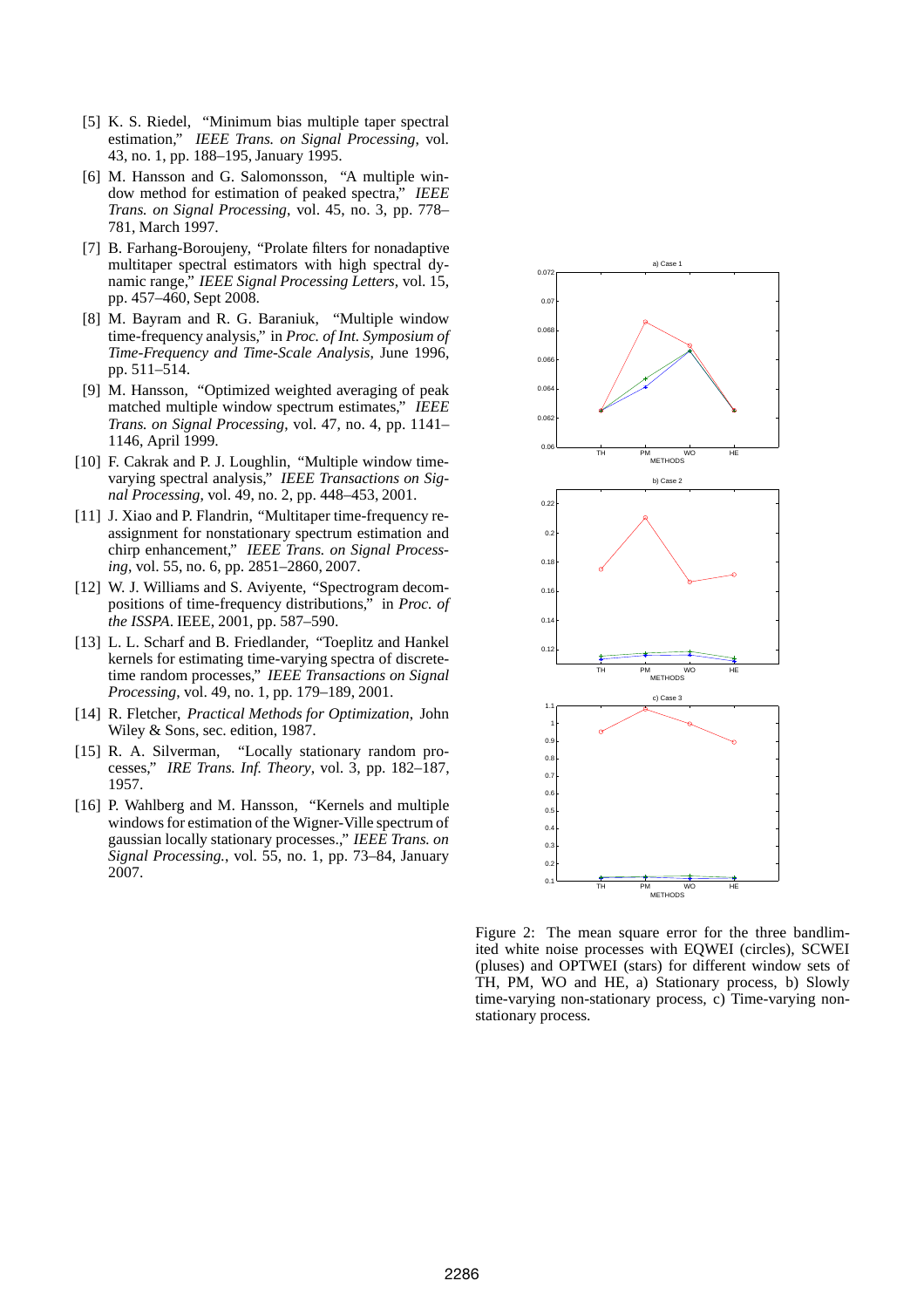- [5] K. S. Riedel, "Minimum bias multiple taper spectral estimation," *IEEE Trans. on Signal Processing*, vol. 43, no. 1, pp. 188–195, January 1995.
- [6] M. Hansson and G. Salomonsson, "A multiple window method for estimation of peaked spectra," *IEEE Trans. on Signal Processing*, vol. 45, no. 3, pp. 778– 781, March 1997.
- [7] B. Farhang-Boroujeny, "Prolate filters for nonadaptive multitaper spectral estimators with high spectral dynamic range," *IEEE Signal Processing Letters*, vol. 15, pp. 457–460, Sept 2008.
- [8] M. Bayram and R. G. Baraniuk, "Multiple window time-frequency analysis," in *Proc. of Int. Symposium of Time-Frequency and Time-Scale Analysis*, June 1996, pp. 511–514.
- [9] M. Hansson, "Optimized weighted averaging of peak matched multiple window spectrum estimates," *IEEE Trans. on Signal Processing*, vol. 47, no. 4, pp. 1141– 1146, April 1999.
- [10] F. Cakrak and P. J. Loughlin, "Multiple window timevarying spectral analysis," *IEEE Transactions on Signal Processing*, vol. 49, no. 2, pp. 448–453, 2001.
- [11] J. Xiao and P. Flandrin, "Multitaper time-frequency reassignment for nonstationary spectrum estimation and chirp enhancement," *IEEE Trans. on Signal Processing*, vol. 55, no. 6, pp. 2851–2860, 2007.
- [12] W. J. Williams and S. Aviyente, "Spectrogram decompositions of time-frequency distributions," in *Proc. of the ISSPA*. IEEE, 2001, pp. 587–590.
- [13] L. L. Scharf and B. Friedlander, "Toeplitz and Hankel kernels for estimating time-varying spectra of discretetime random processes," *IEEE Transactions on Signal Processing*, vol. 49, no. 1, pp. 179–189, 2001.
- [14] R. Fletcher, *Practical Methods for Optimization*, John Wiley & Sons, sec. edition, 1987.
- [15] R. A. Silverman, "Locally stationary random processes," *IRE Trans. Inf. Theory*, vol. 3, pp. 182–187, 1957.
- [16] P. Wahlberg and M. Hansson, "Kernels and multiple windows for estimation of the Wigner-Ville spectrum of gaussian locally stationary processes.," *IEEE Trans. on Signal Processing.*, vol. 55, no. 1, pp. 73–84, January 2007.



Figure 2: The mean square error for the three bandlimited white noise processes with EQWEI (circles), SCWEI (pluses) and OPTWEI (stars) for different window sets of TH, PM, WO and HE, a) Stationary process, b) Slowly time-varying non-stationary process, c) Time-varying nonstationary process.